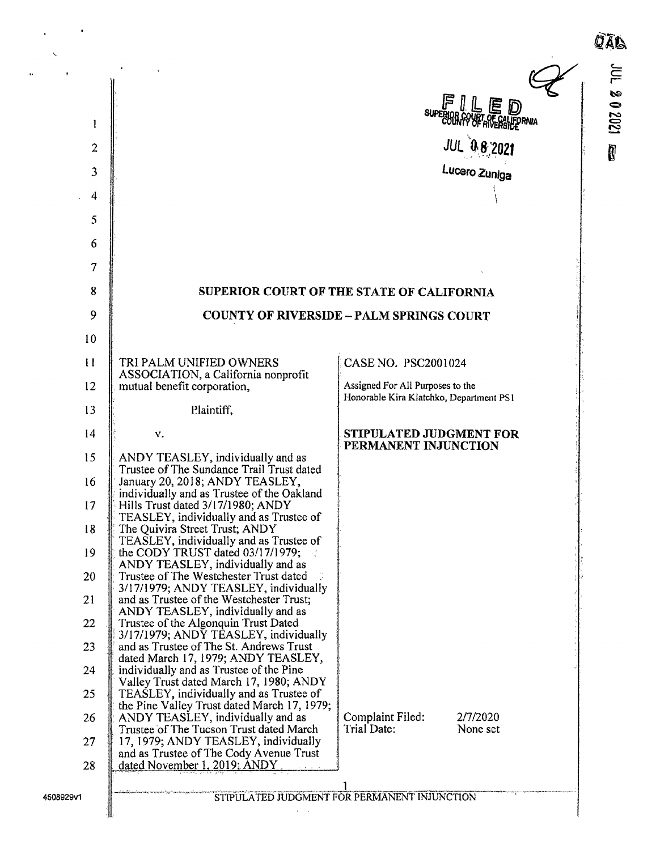| 1<br>$\overline{2}$<br>3<br>4<br>5 |                                                                                        | SUPERORAYAR RESERVIA<br><b>JUL 08 2021</b><br>Lucero Zuniga                 | JUL 202021<br>Ù |
|------------------------------------|----------------------------------------------------------------------------------------|-----------------------------------------------------------------------------|-----------------|
| 6                                  |                                                                                        |                                                                             |                 |
| 7                                  |                                                                                        |                                                                             |                 |
| 8                                  |                                                                                        | SUPERIOR COURT OF THE STATE OF CALIFORNIA                                   |                 |
| 9                                  |                                                                                        | <b>COUNTY OF RIVERSIDE - PALM SPRINGS COURT</b>                             |                 |
| 10                                 |                                                                                        |                                                                             |                 |
| $\mathbf{H}$                       | TRI PALM UNIFIED OWNERS<br>ASSOCIATION, a California nonprofit                         | CASE NO. PSC2001024                                                         |                 |
| 12                                 | mutual benefit corporation,                                                            | Assigned For All Purposes to the<br>Honorable Kira Klatchko, Department PS1 |                 |
| 13                                 | Plaintiff,                                                                             |                                                                             |                 |
| 4                                  | v.                                                                                     | <b>STIPULATED JUDGMENT FOR</b><br>PERMANENT INJUNCTION                      |                 |
| 15                                 | ANDY TEASLEY, individually and as<br>Trustee of The Sundance Trail Trust dated         |                                                                             |                 |
| 16                                 | January 20, 2018; ANDY TEASLEY,<br>individually and as Trustee of the Oakland          |                                                                             |                 |
| 17                                 | Hills Trust dated 3/17/1980; ANDY<br>TEASLEY, individually and as Trustee of           |                                                                             |                 |
| 18                                 | The Quivira Street Trust; ANDY<br>TEASLEY, individually and as Trustee of              |                                                                             |                 |
| 19                                 | the CODY TRUST dated 03/17/1979;<br>ANDY TEASLEY, individually and as                  |                                                                             |                 |
| 20                                 | Trustee of The Westchester Trust dated<br>3/17/1979; ANDY TEASLEY, individually        |                                                                             |                 |
| 21                                 | and as Trustee of the Westchester Trust;<br>ANDY TEASLEY, individually and as          |                                                                             |                 |
| 22                                 | Trustee of the Algonquin Trust Dated<br>3/17/1979; ANDY TEASLEY, individually          |                                                                             |                 |
| 23                                 | and as Trustee of The St. Andrews Trust<br>dated March 17, 1979; ANDY TEASLEY,         |                                                                             |                 |
| 24                                 | individually and as Trustee of the Pine<br>Valley Trust dated March 17, 1980; ANDY     |                                                                             |                 |
| 25                                 | TEASLEY, individually and as Trustee of<br>the Pine Valley Trust dated March 17, 1979; |                                                                             |                 |

Valley Trust dated 25  $\parallel$  TEASLEY, individ the Pine Valley Tru 26 ANDY TEASLEY, individually and as Complaint Filed: 2/7/2020<br>Trustee of The Tucson Trust dated March Trial Date: None set Trustee of The Tucson Trust dated March 27  $\parallel$  17, 1979; ANDY TEASLEY, individually and as Trustee of The Cody Avenue Trust 28 dated November 1, 2019; ANDY

4508929v1 **CONTROLLETTION STIPULATED JUDGMENT FOR PERMANENT INJUNCTION**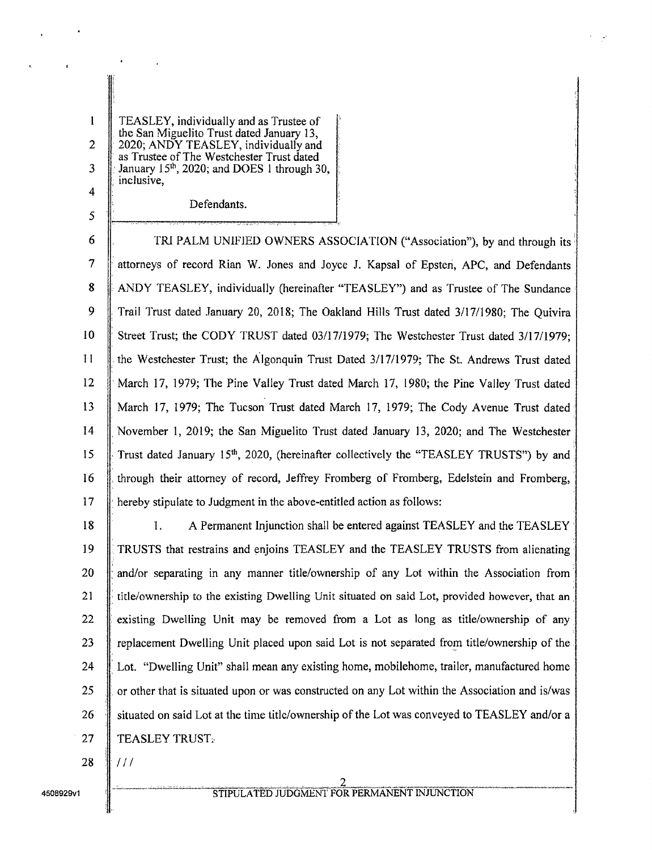<sup>1</sup> TEASLEY, individually and as Trustee of the San Miguelito Trust dated January 13, 2  $\parallel$  2020; ANDY TEASLEY, individually and as Trustee of The Westchester Trust dated 3  $\parallel$  January 15<sup>th</sup>, 2020; and DOES 1 through 30, inclusive, 4

Defendants.

5

6 **C** TRI PALM UNIFIED OWNERS ASSOCIATION ("Association"), by and through its 7 attorneys of record Rian W. Jones and Joyce J. Kapsal of Epsten, APC, and Defendants 8 ANDY TEASLEY, individually (hereinafter "TEASLEY") and as Trustee of The Sundance 9 Trail Trust dated January 20, 2018; The Oakland Hills Trust dated 3/17/1980: The Ouivira 10 Street Trust; the CODY TRUST dated 03/17/1979; The Westchester Trust dated 3/17/1979; II the Westchester Trust; the Algonquin Trust Dated 3/ 17/ 1979; The St. Andrews Trust dated <sup>12</sup> March 17, 1979; The Pine Valley Trust dated March 17, 1980; the Pine Valley Trust dated 13 March 17, 1979; The Tucson Trust dated March 17, 1979; The Cody Avenue Trust dated 14 November 1, 2019; the San Miguelito Trust dated January 13, 2020; and The Westchester 15 Trust dated January 15<sup>th</sup>, 2020, (hereinafter collectively the "TEASLEY TRUSTS") by and <sup>16</sup> through their attorney of record, Jeffrey Fromberg of Fromberg, Edelstein and Fromberg, 17 **hereby stipulate to Judgment in the above-entitled action as follows:** 

18 1. A Permanent Injunction shall be entered against TEASLEY and the TEASLEY 19 TRUSTS that restrains and enjoins TEASLEY and the TEASLEY TRUSTS from alienating 20  $\parallel$  and/or separating in any manner title/ownership of any Lot within the Association from 21 ittle/ownership to the existing Dwelling Unit situated on said Lot, provided however, that an 22 existing Dwelling Unit may be removed from a Lot as long as title/ownership of any 23 replacement Dwelling Unit placed upon said Lot is not separated from title/ownership of the 24 Lot. "Dwelling Unit" shall mean any existing home, mobilehome, trailer, manufactured home 25  $\parallel$  or other that is situated upon or was constructed on any Lot within the Association and is/was 26  $\parallel$  situated on said Lot at the time title/ownership of the Lot was conveyed to TEASLEY and/or a 27 | TEASLEY TRUST.

 $28$  ||  $111$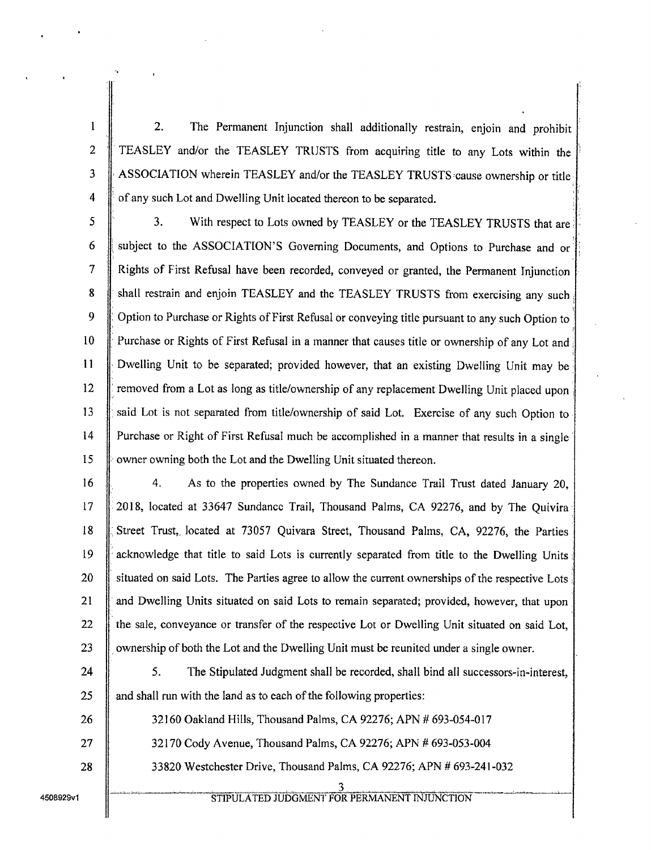<sup>1</sup> 2. The Permanent Injunction shall additionally restrain, enjoin and prohibit 2 | TEASLEY and/or the TEASLEY TRUSTS from acquiring title to any Lots within the 3 ASSOCIATION wherein TEASLEY and/or the TEASLEY TRUSTS cause ownership or title 4  $\parallel$  of any such Lot and Dwelling Unit located thereon to be separated.

5 3. With respect to Lots owned by TEASLEY or the TEASLEY TRUSTS that are 6 Subject to the ASSOCIATION'S Governing Documents, and Options to Purchase and or <sup>7</sup> Rights of First Refusal have been recorded, conveyed or granted, the Permanent Injunction 8 Shall restrain and enjoin TEASLEY and the TEASLEY TRUSTS from exercising any such 9 | Option to Purchase or Rights of First Refusal or conveying title pursuant to any such Option to 10 Purchase or Rights of First Refusal in a manner that causes title or ownership of any Lot and <sup>11</sup> Dwelling Unit to be separated; provided however, that an existing Dwelling Unit may be 12  $\parallel$  removed from a Lot as long as title/ ownership of any replacement Dwelling Unit placed upon 13 Said Lot is not separated from title/ownership of said Lot. Exercise of any such Option to <sup>14</sup> Purchase or Right of First Refusal much be accomplished in <sup>a</sup> manner that results in <sup>a</sup> single 15 w owner owning both the Lot and the Dwelling Unit situated thereon.

16 4. As to the properties owned by The Sundance Trail Trust dated January 20, 17 2018, located at 33647 Sundance Trail, Thousand Palms, CA 92276, and by The Quivira Street Trust,, located at 73057 Quivara Street, Thousand Palms, CA, 92276, the Parties **acknowledge that title to said Lots is currently separated from title to the Dwelling Units** 20 | situated on said Lots. The Parties agree to allow the current ownerships of the respective Lots  $\parallel$  and Dwelling Units situated on said Lots to remain separated; provided, however, that upon  $\parallel$  the sale, conveyance or transfer of the respective Lot or Dwelling Unit situated on said Lot, **o**wnership of both the Lot and the Dwelling Unit must be reunited under a single owner.

24  $\parallel$  5. The Stipulated Judgment shall be recorded, shall bind all successors-in-interest,  $25$  and shall run with the land as to each of the following properties:

26 **1 32160 Oakland Hills, Thousand Palms, CA 92276; APN # 693-054-017** 27  $\parallel$  32170 Cody Avenue, Thousand Palms, CA 92276; APN # 693-053-004 28 33820 Westchester Drive, Thousand Palms, CA 92276; APN # 693-241-032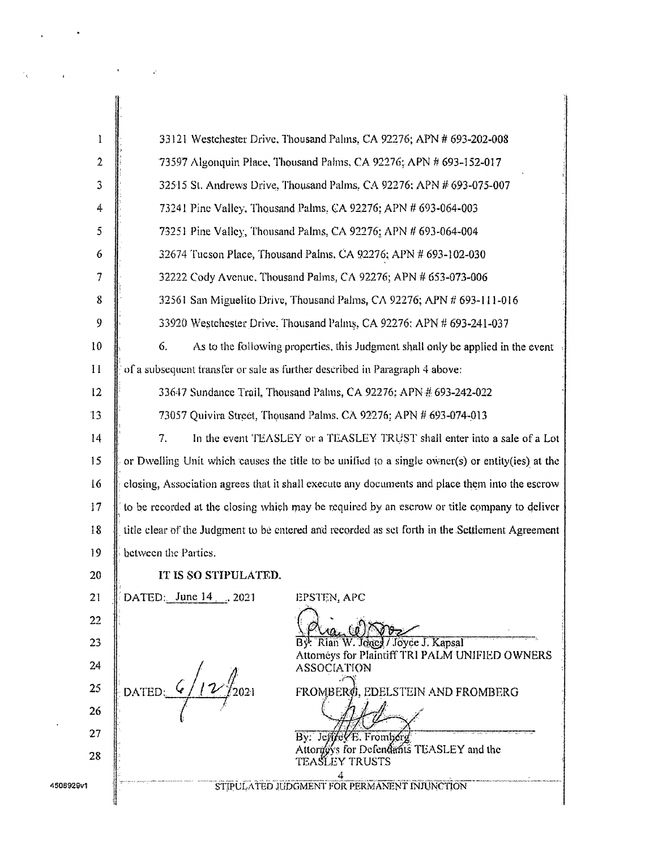| Ţ                | 33121 Westchester Drive, Thousand Palms, CA 92276; APN # 693-202-008                             |  |  |
|------------------|--------------------------------------------------------------------------------------------------|--|--|
| $\boldsymbol{2}$ | 73597 Algonquin Place, Thousand Palms, CA 92276; APN # 693-152-017                               |  |  |
| 3                | 32515 St. Andrews Drive, Thousand Palms, CA 92276: APN # 693-075-007                             |  |  |
| 4                | 73241 Pine Valley. Thousand Palms, CA 92276; APN # 693-064-003                                   |  |  |
| 5                | 73251 Pine Valley, Thousand Palms, CA 92276; APN # 693-064-004                                   |  |  |
| 6                | 32674 Tucson Place, Thousand Palms, CA 92276; APN # 693-102-030                                  |  |  |
| 7                | 32222 Cody Avenue, Thousand Palms, CA 92276; APN # 653-073-006                                   |  |  |
| 8                | 32561 San Miguelito Drive, Thousand Palms, CA 92276; APN # 693-111-016                           |  |  |
| 9                | 33920 Westchester Drive. Thousand Palms, CA 92276: APN # 693-241-037                             |  |  |
| 10               | 6.<br>As to the following properties, this Judgment shall only be applied in the event           |  |  |
| $\mathbf{H}$     | of a subsequent transfer or sale as further described in Paragraph 4 above:                      |  |  |
| 12               | 33647 Sundance Trail, Thousand Palms, CA 92276; APN # 693-242-022                                |  |  |
| 13               | 73057 Quivira Street, Thousand Palms, CA 92276; APN # 693-074-013                                |  |  |
| 14               | In the event TEASLEY or a TEASLEY TRUST shall enter into a sale of a Lot<br>7.                   |  |  |
| 15               | or Dwelling Unit which causes the title to be unified to a single owner(s) or entity(ies) at the |  |  |
| 16               | closing, Association agrees that it shall execute any documents and place them into the escrow   |  |  |
| 17               | to be recorded at the closing which may be required by an escrow or title company to deliver     |  |  |
| 18               | title clear of the Judgment to be entered and recorded as set forth in the Settlement Agreement  |  |  |
| 19               | between the Parties.                                                                             |  |  |
| 20               | IT IS SO STIPULATED.                                                                             |  |  |
| 21               | DATED: June 14  2021<br>EPSTEN, APC                                                              |  |  |
| 22               | $(0)$ $\sqrt{88.2}$                                                                              |  |  |
| 23               | By: Rian W. Jones / Joyce J. Kapsal<br>Attorneys for Plaintiff TRI PALM UNIFIED OWNERS           |  |  |
| 24               | <b>ASSOCIATION</b>                                                                               |  |  |
| 25               | DATED:<br>FROMBERØ, EDELSTEIN AND FROMBERG                                                       |  |  |
| 26               |                                                                                                  |  |  |
| 27               | By: Jeffret/E. Fromberg<br>Attorgy's for Defendants TEASLEY and the                              |  |  |
| 28               | <b>TEASLEY TRUSTS</b>                                                                            |  |  |
| 4508929v1        | STIPULATED JUDGMENT FOR PERMANENT INJUNCTION                                                     |  |  |
|                  |                                                                                                  |  |  |

 $\sim 10^{-11}$ 

 $\bar{\mathcal{E}}$ 

 $\sim$   $\omega$ 

 $\mathcal{L}^{\pm}$ 

 $\frac{1}{2}$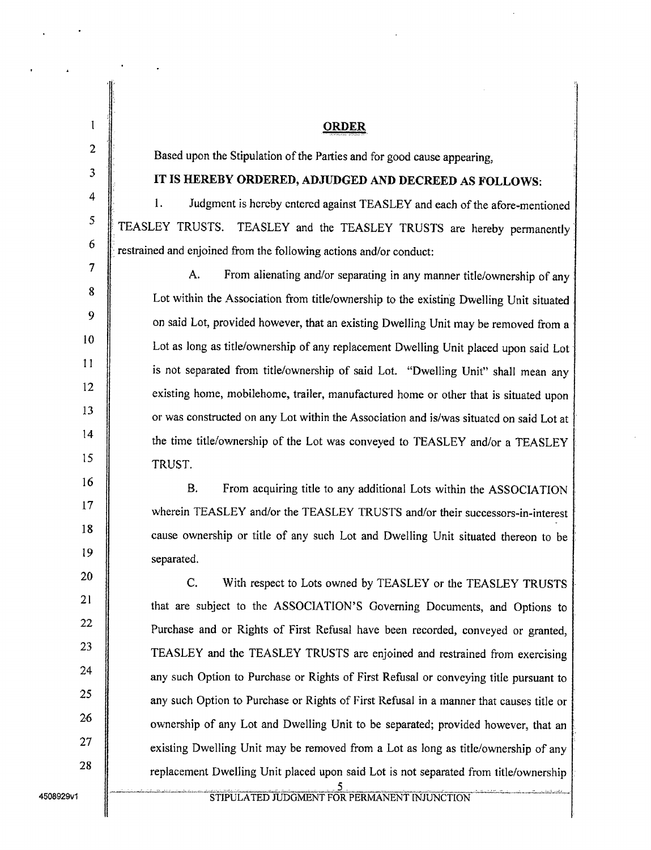<sup>1</sup> ORDER Based upon the Stipulation of the Parties and for good cause appearing, IT IS HEREBY ORDERED, ADJUDGED AND DECREED AS FOLLOWS: 1. Judgment is hereby entered against TEASLEY and each of the afore-mentioned TEASLEY TRUSTS. TEASLEY and the TEASLEY TRUSTS are hereby permanently restrained and enjoined from the following actions and/or conduct: A. From alienating and/or separating in any manner title/ownership of any Lot within the Association from title/ownership to the existing Dwelling Unit situated on said Lot, provided however, that an existing Dwelling Unit may be removed from a Lot as long as title/ownership of any replacement Dwelling Unit placed upon said Lot is not separated from title/ownership of said Lot. "Dwelling Unit" shall mean any existing home, mobilehome, trailer, manufactured home or other that is situated upon or was constructed on any Lot within the Association and is/ was situated on said Lot at the time title/ownership of the Lot was conveyed to TEASLEY and/or a TEASLEY TRUST. B. From acquiring title to any additional Lots within the ASSOCIATION wherein TEASLEY and/or the TEASLEY TRUSTS and/or their successors-in-interest cause ownership or title of any such Lot and Dwelling Unit situated thereon to be

C. With respect to Lots owned by TEASLEY or the TEASLEY TRUSTS that are subject to the ASSOCIATION'S Governing Documents, and Options to Purchase and or Rights of First Refusal have been recorded, conveyed or granted, TEASLEY and the TEASLEY TRUSTS are enjoined and restrained from exercising any such Option to Purchase or Rights of First Refusal or conveying title pursuant to any such Option to Purchase or Rights of First Refusal in <sup>a</sup> manner that causes title or ownership of any Lot and Dwelling Unit to be separated; provided however, that an existing Dwelling Unit may be removed from a Lot as long as title/ownership of any replacement Dwelling Unit placed upon said Lot is not separated from title/ownership

2

3

4

5

6

8

9

7

10

11

12

13

14

15

16

17

18

20

21

22

23

24

25

26

27

28

 $\begin{array}{c|c} 19 & \text{separated.} \end{array}$ 

5 4508929v1 STIPULATED JUDGMENT FOR PERMANENT INJUNCTION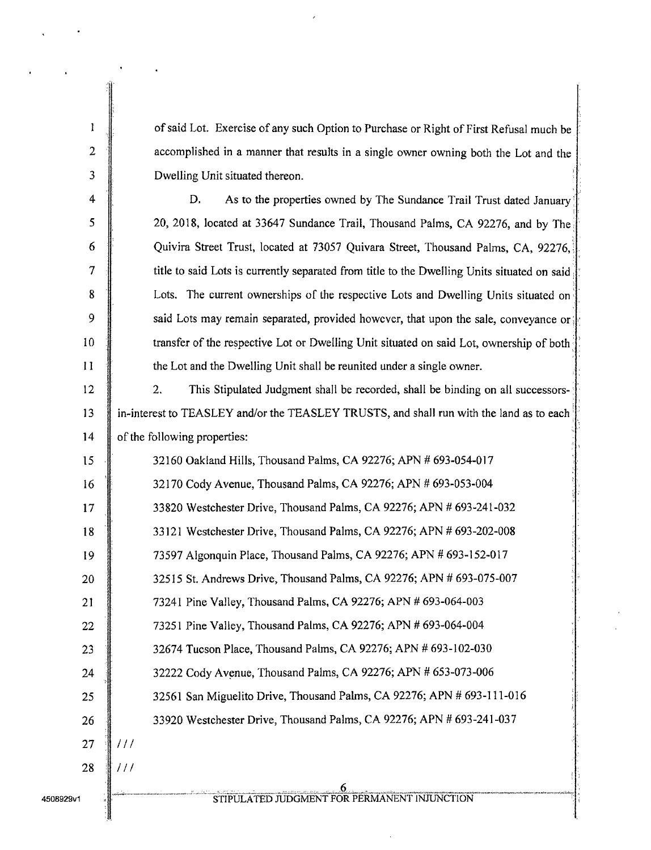| l                       | of said Lot. Exercise of any such Option to Purchase or Right of First Refusal much be      |
|-------------------------|---------------------------------------------------------------------------------------------|
| $\overline{2}$          | accomplished in a manner that results in a single owner owning both the Lot and the         |
| $\mathfrak{Z}$          | Dwelling Unit situated thereon.                                                             |
| $\overline{\mathbf{4}}$ | D.<br>As to the properties owned by The Sundance Trail Trust dated January                  |
| 5                       | 20, 2018, located at 33647 Sundance Trail, Thousand Palms, CA 92276, and by The             |
| 6                       | Quivira Street Trust, located at 73057 Quivara Street, Thousand Palms, CA, 92276,           |
| 7                       | title to said Lots is currently separated from title to the Dwelling Units situated on said |
| 8                       | Lots. The current ownerships of the respective Lots and Dwelling Units situated on          |
| 9                       | said Lots may remain separated, provided however, that upon the sale, conveyance or         |
| 10                      | transfer of the respective Lot or Dwelling Unit situated on said Lot, ownership of both     |
| $\mathbf{1}$            | the Lot and the Dwelling Unit shall be reunited under a single owner.                       |
| 12                      | 2.<br>This Stipulated Judgment shall be recorded, shall be binding on all successors-       |
| 13                      | in-interest to TEASLEY and/or the TEASLEY TRUSTS, and shall run with the land as to each    |
| 14                      | of the following properties:                                                                |
| 15                      | 32160 Oakland Hills, Thousand Palms, CA 92276; APN # 693-054-017                            |
| 16                      | 32170 Cody Avenue, Thousand Palms, CA 92276; APN # 693-053-004                              |
| 17                      | 33820 Westchester Drive, Thousand Palms, CA 92276; APN # 693-241-032                        |
| 18                      | 33121 Westchester Drive, Thousand Palms, CA 92276; APN # 693-202-008                        |
| 19                      | 73597 Algonquin Place, Thousand Palms, CA 92276; APN # 693-152-017                          |
| 20                      | 32515 St. Andrews Drive, Thousand Palms, CA 92276; APN # 693-075-007                        |
| 21                      | 73241 Pine Valley, Thousand Palms, CA 92276; APN # 693-064-003                              |
| 22                      | 73251 Pine Valley, Thousand Palms, CA 92276; APN # 693-064-004                              |
| 23                      | 32674 Tucson Place, Thousand Palms, CA 92276; APN # 693-102-030                             |
| 24                      | 32222 Cody Avenue, Thousand Palms, CA 92276; APN # 653-073-006                              |
| 25                      | 32561 San Miguelito Drive, Thousand Palms, CA 92276; APN # 693-111-016                      |
| 26                      | 33920 Westchester Drive, Thousand Palms, CA 92276; APN # 693-241-037                        |
| 27                      | 111                                                                                         |
| 28                      | 111                                                                                         |
| 4508929v1               | STIPULATED JUDGMENT FOR PERMANENT INJUNCTION                                                |

 $\ddot{\phantom{a}}$ 

 $\ddot{\phantom{0}}$ 

 $\ddot{\phantom{1}}$ 

 $\ddot{\phantom{0}}$ 

 $\ddot{\phantom{1}}$ 

 $\ddot{\phantom{0}}$ 

l,